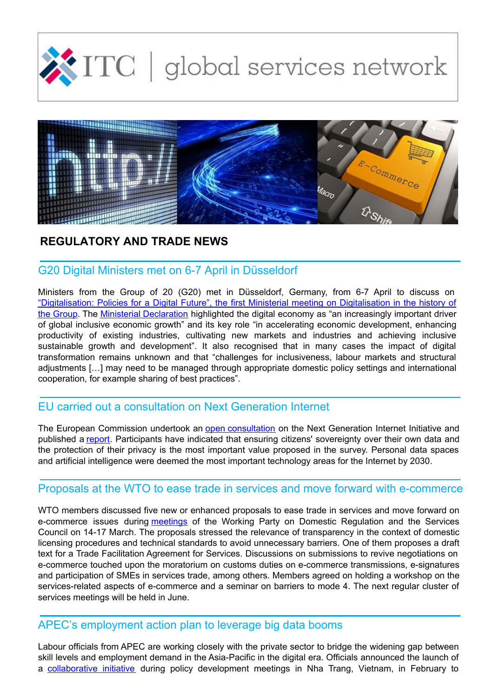



## **REGULATORY AND TRADE NEWS**

## G20 Digital Ministers met on 6-7 April in Düsseldorf

Ministers from the Group of 20 (G20) met in Düsseldorf, Germany, from 6-7 April to discuss on ["Digitalisation:](http://www.de.digital/DIGITAL/Redaktion/EN/Dossier/g20-shaping-digitalisation-at-global-level.html) Policies for a Digital Future", the first Ministerial meeting on Digitalisation in the history of the Group. The Ministerial [Declaration](https://www.bmwi.de/Redaktion/DE/Downloads/G/g20-digital-economy-ministerial-declaration-english-version.pdf?__blob=publicationFile&v=12) highlighted the digital economy as "an increasingly important driver of global inclusive economic growth" and its key role "in accelerating economic development, enhancing productivity of existing industries, cultivating new markets and industries and achieving inclusive sustainable growth and development". It also recognised that in many cases the impact of digital transformation remains unknown and that "challenges for inclusiveness, labour markets and structural adjustments […] may need to be managed through appropriate domestic policy settings and international cooperation, for example sharing of best practices".

### EU carried out a consultation on Next Generation Internet

The European Commission undertook an open [consultation](https://ec.europa.eu/futurium/en/next-generation-internet/debate) on the Next Generation Internet Initiative and published a [report](https://ec.europa.eu/futurium/en/content/final-report-next-generation-internet-consultation). Participants have indicated that ensuring citizens' sovereignty over their own data and the protection of their privacy is the most important value proposed in the survey. Personal data spaces and artificial intelligence were deemed the most important technology areas for the Internet by 2030.

# Proposals at the WTO to ease trade in services and move forward with e-commerce

WTO members discussed five new or enhanced proposals to ease trade in services and move forward on e-commerce issues during [meetings](https://www.wto.org/english/news_e/news17_e/serv_14mar17_e.htm) of the Working Party on Domestic Regulation and the Services Council on 14-17 March. The proposals stressed the relevance of transparency in the context of domestic licensing procedures and technical standards to avoid unnecessary barriers. One of them proposes a draft text for a Trade Facilitation Agreement for Services. Discussions on submissions to revive negotiations on e-commerce touched upon the moratorium on customs duties on e-commerce transmissions, e-signatures and participation of SMEs in services trade, among others. Members agreed on holding a workshop on the services-related aspects of e-commerce and a seminar on barriers to mode 4. The next regular cluster of services meetings will be held in June.

#### APEC's employment action plan to leverage big data booms

Labour officials from APEC are working closely with the private sector to bridge the widening gap between skill levels and employment demand in the Asia-Pacific in the digital era. Officials announced the launch of a [collaborative](http://www.apec.org/Press/News-Releases/2017/0228_bigdata) initiative during policy development meetings in Nha Trang, Vietnam, in February to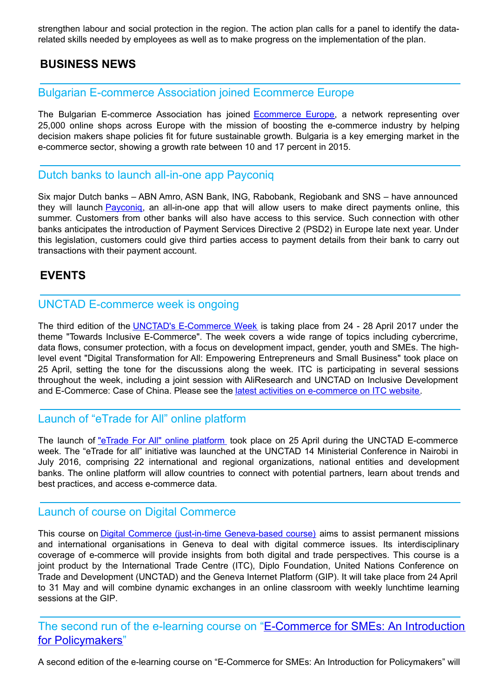strengthen labour and social protection in the region. The action plan calls for a panel to identify the datarelated skills needed by employees as well as to make progress on the implementation of the plan.

## **BUSINESS NEWS**

#### Bulgarian E-commerce Association joined Ecommerce Europe

The Bulgarian E-commerce Association has joined [Ecommerce](https://www.ecommerce-europe.eu/press-item/ecommerce-europe-welcomes-bulgarian-e-commerce-associaton/) Europe, a network representing over 25,000 online shops across Europe with the mission of boosting the e-commerce industry by helping decision makers shape policies fit for future sustainable growth. Bulgaria is a key emerging market in the e-commerce sector, showing a growth rate between 10 and 17 percent in 2015.

#### Dutch banks to launch all-in-one app Payconiq

Six major Dutch banks – ABN Amro, ASN Bank, ING, Rabobank, Regiobank and SNS – have announced they will launch [Payconiq](https://ecommercenews.eu/dutch-banks-to-launch-all-in-one-app-payconiq/), an all-in-one app that will allow users to make direct payments online, this summer. Customers from other banks will also have access to this service. Such connection with other banks anticipates the introduction of Payment Services Directive 2 (PSD2) in Europe late next year. Under this legislation, customers could give third parties access to payment details from their bank to carry out transactions with their payment account.

### **EVENTS**

#### UNCTAD E-commerce week is ongoing

The third edition of the UNCTAD's [E-Commerce](http://unctad.org/en/conferences/e-week2017/Pages/default.aspx) Week is taking place from 24 - 28 April 2017 under the theme "Towards Inclusive E-Commerce". The week covers a wide range of topics including cybercrime, data flows, consumer protection, with a focus on development impact, gender, youth and SMEs. The highlevel event "Digital Transformation for All: Empowering Entrepreneurs and Small Business" took place on 25 April, setting the tone for the discussions along the week. ITC is participating in several sessions throughout the week, including a joint session with AliResearch and UNCTAD on Inclusive Development and E-Commerce: Case of China. Please see the *latest activities on [e-commerce](http://www.intracen.org/itc/sectors/services/e-commerce/) on ITC website*.

### Launch of "eTrade for All" online platform

The launch of "eTrade For All" online [platform](http://unctad.org/en/conferences/e-week2017/Pages/MeetingDetails.aspx?meetingid=1317) took place on 25 April during the UNCTAD E-commerce week. The "eTrade for all" initiative was launched at the UNCTAD 14 Ministerial Conference in Nairobi in July 2016, comprising 22 international and regional organizations, national entities and development banks. The online platform will allow countries to connect with potential partners, learn about trends and best practices, and access e-commerce data.

#### Launch of course on Digital Commerce

This course on Digital Commerce (just-in-time [Geneva-based](https://www.diplomacy.edu/courses/commerce) course) aims to assist permanent missions and international organisations in Geneva to deal with digital commerce issues. Its interdisciplinary coverage of e-commerce will provide insights from both digital and trade perspectives. This course is a joint product by the International Trade Centre (ITC), Diplo Foundation, United Nations Conference on Trade and Development (UNCTAD) and the Geneva Internet Platform (GIP). It will take place from 24 April to 31 May and will combine dynamic exchanges in an online classroom with weekly lunchtime learning sessions at the GIP.

The second run of the e-learning course on ["E-Commerce](https://learning.intracen.org/course/info.php?id=239) for SMEs: An Introduction for Policymakers"

A second edition of the e-learning course on "E-Commerce for SMEs: An Introduction for Policymakers" will